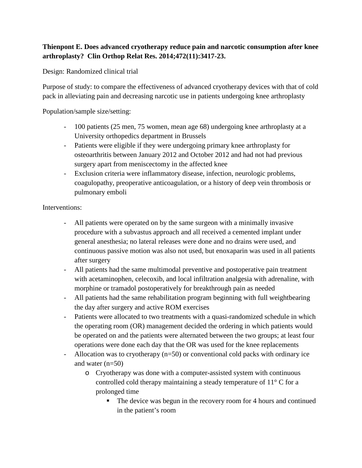## **Thienpont E. Does advanced cryotherapy reduce pain and narcotic consumption after knee arthroplasty? Clin Orthop Relat Res. 2014;472(11):3417-23.**

Design: Randomized clinical trial

Purpose of study: to compare the effectiveness of advanced cryotherapy devices with that of cold pack in alleviating pain and decreasing narcotic use in patients undergoing knee arthroplasty

Population/sample size/setting:

- 100 patients (25 men, 75 women, mean age 68) undergoing knee arthroplasty at a University orthopedics department in Brussels
- Patients were eligible if they were undergoing primary knee arthroplasty for osteoarthritis between January 2012 and October 2012 and had not had previous surgery apart from meniscectomy in the affected knee
- Exclusion criteria were inflammatory disease, infection, neurologic problems, coagulopathy, preoperative anticoagulation, or a history of deep vein thrombosis or pulmonary emboli

Interventions:

- All patients were operated on by the same surgeon with a minimally invasive procedure with a subvastus approach and all received a cemented implant under general anesthesia; no lateral releases were done and no drains were used, and continuous passive motion was also not used, but enoxaparin was used in all patients after surgery
- All patients had the same multimodal preventive and postoperative pain treatment with acetaminophen, celecoxib, and local infiltration analgesia with adrenaline, with morphine or tramadol postoperatively for breakthrough pain as needed
- All patients had the same rehabilitation program beginning with full weightbearing the day after surgery and active ROM exercises
- Patients were allocated to two treatments with a quasi-randomized schedule in which the operating room (OR) management decided the ordering in which patients would be operated on and the patients were alternated between the two groups; at least four operations were done each day that the OR was used for the knee replacements
- Allocation was to cryotherapy (n=50) or conventional cold packs with ordinary ice and water (n=50)
	- o Cryotherapy was done with a computer-assisted system with continuous controlled cold therapy maintaining a steady temperature of 11° C for a prolonged time
		- The device was begun in the recovery room for 4 hours and continued in the patient's room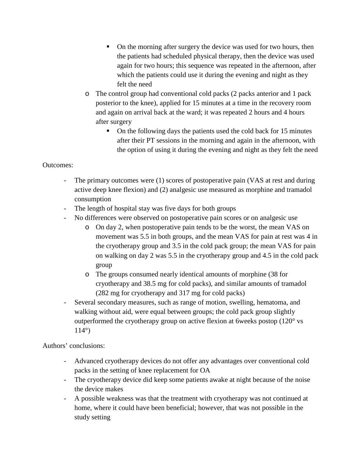- On the morning after surgery the device was used for two hours, then the patients had scheduled physical therapy, then the device was used again for two hours; this sequence was repeated in the afternoon, after which the patients could use it during the evening and night as they felt the need
- o The control group had conventional cold packs (2 packs anterior and 1 pack posterior to the knee), applied for 15 minutes at a time in the recovery room and again on arrival back at the ward; it was repeated 2 hours and 4 hours after surgery
	- On the following days the patients used the cold back for 15 minutes after their PT sessions in the morning and again in the afternoon, with the option of using it during the evening and night as they felt the need

## Outcomes:

- The primary outcomes were (1) scores of postoperative pain (VAS at rest and during active deep knee flexion) and (2) analgesic use measured as morphine and tramadol consumption
- The length of hospital stay was five days for both groups
- No differences were observed on postoperative pain scores or on analgesic use
	- o On day 2, when postoperative pain tends to be the worst, the mean VAS on movement was 5.5 in both groups, and the mean VAS for pain at rest was 4 in the cryotherapy group and 3.5 in the cold pack group; the mean VAS for pain on walking on day 2 was 5.5 in the cryotherapy group and 4.5 in the cold pack group
	- o The groups consumed nearly identical amounts of morphine (38 for cryotherapy and 38.5 mg for cold packs), and similar amounts of tramadol (282 mg for cryotherapy and 317 mg for cold packs)
- Several secondary measures, such as range of motion, swelling, hematoma, and walking without aid, were equal between groups; the cold pack group slightly outperformed the cryotherapy group on active flexion at 6weeks postop (120° vs 114°)

Authors' conclusions:

- Advanced cryotherapy devices do not offer any advantages over conventional cold packs in the setting of knee replacement for OA
- The cryotherapy device did keep some patients awake at night because of the noise the device makes
- A possible weakness was that the treatment with cryotherapy was not continued at home, where it could have been beneficial; however, that was not possible in the study setting